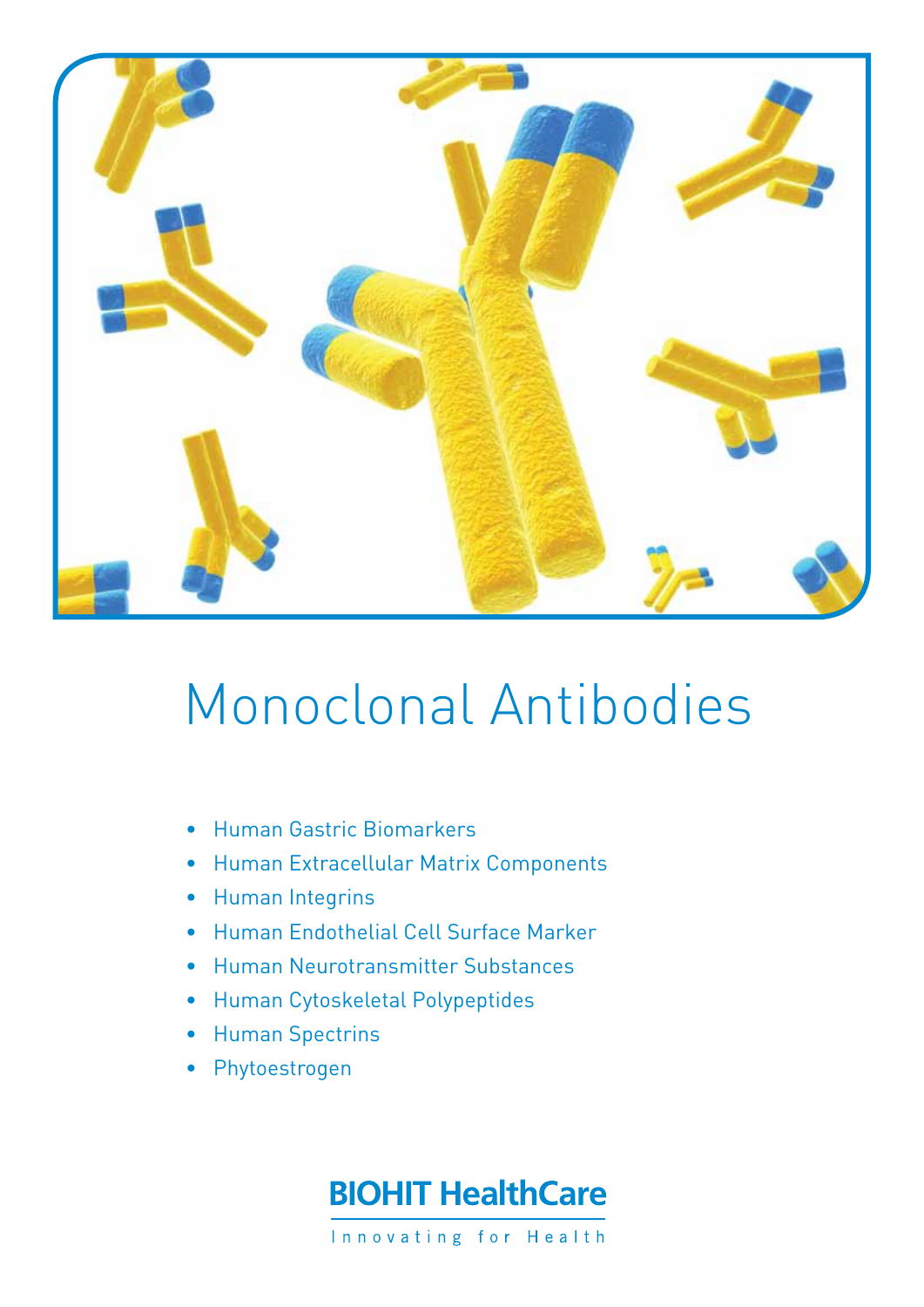

# Monoclonal Antibodies

- • Human Gastric Biomarkers
- • Human Extracellular Matrix Components
- Human Integrins
- • Human Endothelial Cell Surface Marker
- Human Neurotransmitter Substances
- • Human Cytoskeletal Polypeptides
- • Human Spectrins
- Phytoestrogen

## **BIOHIT HealthCare**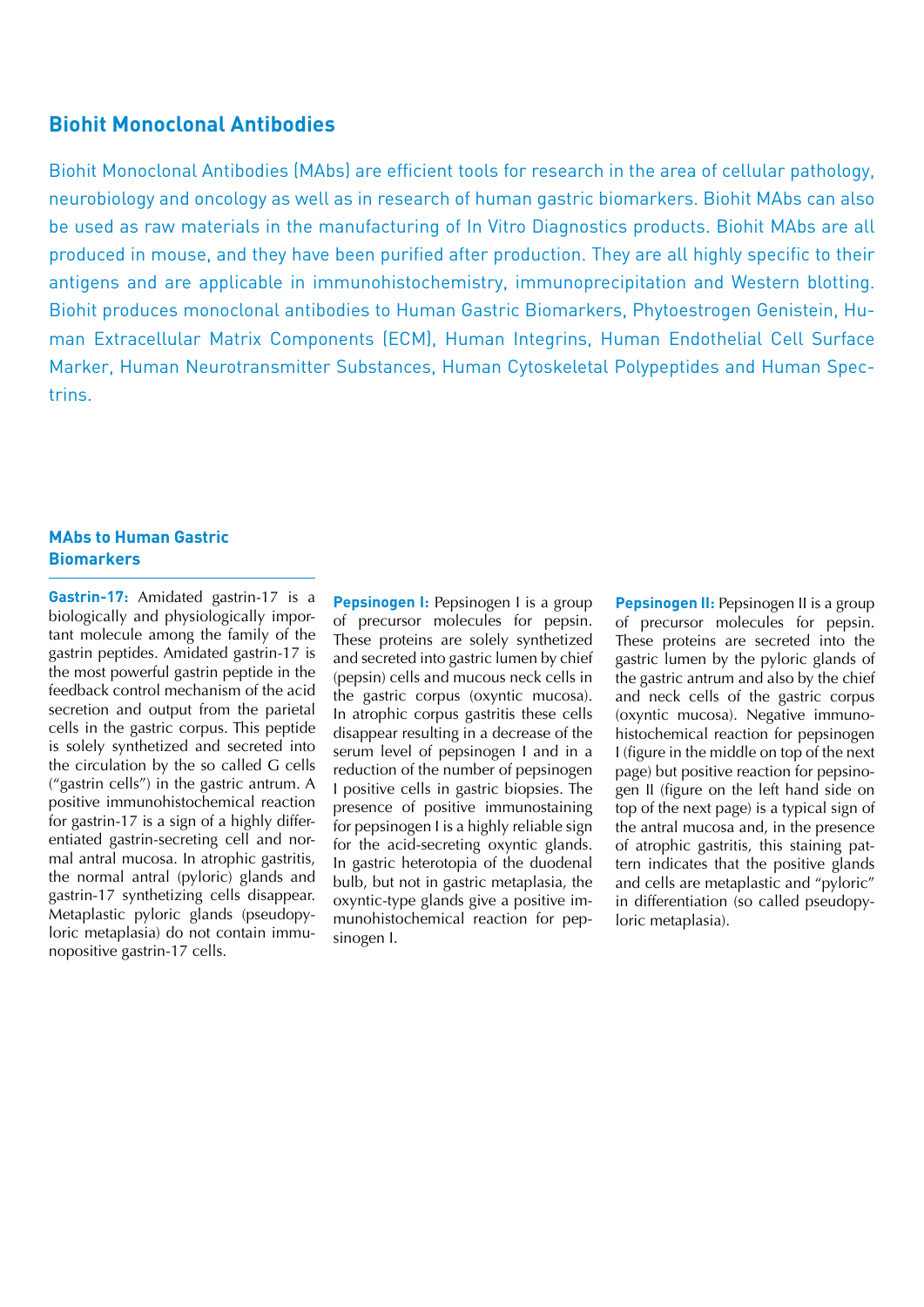#### **Biohit Monoclonal Antibodies**

Biohit Monoclonal Antibodies (MAbs) are efficient tools for research in the area of cellular pathology, neurobiology and oncology as well as in research of human gastric biomarkers. Biohit MAbs can also be used as raw materials in the manufacturing of In Vitro Diagnostics products. Biohit MAbs are all produced in mouse, and they have been purified after production. They are all highly specific to their antigens and are applicable in immunohistochemistry, immunoprecipitation and Western blotting. Biohit produces monoclonal antibodies to Human Gastric Biomarkers, Phytoestrogen Genistein, Human Extracellular Matrix Components (ECM), Human Integrins, Human Endothelial Cell Surface Marker, Human Neurotransmitter Substances, Human Cytoskeletal Polypeptides and Human Spectrins.

#### **MAbs to Human Gastric Biomarkers**

**Gastrin-17:** Amidated gastrin-17 is a biologically and physiologically important molecule among the family of the gastrin peptides. Amidated gastrin-17 is the most powerful gastrin peptide in the feedback control mechanism of the acid secretion and output from the parietal cells in the gastric corpus. This peptide is solely synthetized and secreted into the circulation by the so called G cells ("gastrin cells") in the gastric antrum. A positive immunohistochemical reaction for gastrin-17 is a sign of a highly differentiated gastrin-secreting cell and normal antral mucosa. In atrophic gastritis, the normal antral (pyloric) glands and gastrin-17 synthetizing cells disappear. Metaplastic pyloric glands (pseudopyloric metaplasia) do not contain immunopositive gastrin-17 cells.

**Pepsinogen I:** Pepsinogen I is a group of precursor molecules for pepsin. These proteins are solely synthetized and secreted into gastric lumen by chief (pepsin) cells and mucous neck cells in the gastric corpus (oxyntic mucosa). In atrophic corpus gastritis these cells disappear resulting in a decrease of the serum level of pepsinogen I and in a reduction of the number of pepsinogen I positive cells in gastric biopsies. The presence of positive immunostaining for pepsinogen I is a highly reliable sign for the acid-secreting oxyntic glands. In gastric heterotopia of the duodenal bulb, but not in gastric metaplasia, the oxyntic-type glands give a positive immunohistochemical reaction for pepsinogen I.

**Pepsinogen II:** Pepsinogen II is a group of precursor molecules for pepsin. These proteins are secreted into the gastric lumen by the pyloric glands of the gastric antrum and also by the chief and neck cells of the gastric corpus (oxyntic mucosa). Negative immunohistochemical reaction for pepsinogen I (figure in the middle on top of the next page) but positive reaction for pepsinogen II (figure on the left hand side on top of the next page) is a typical sign of the antral mucosa and, in the presence of atrophic gastritis, this staining pattern indicates that the positive glands and cells are metaplastic and "pyloric" in differentiation (so called pseudopyloric metaplasia).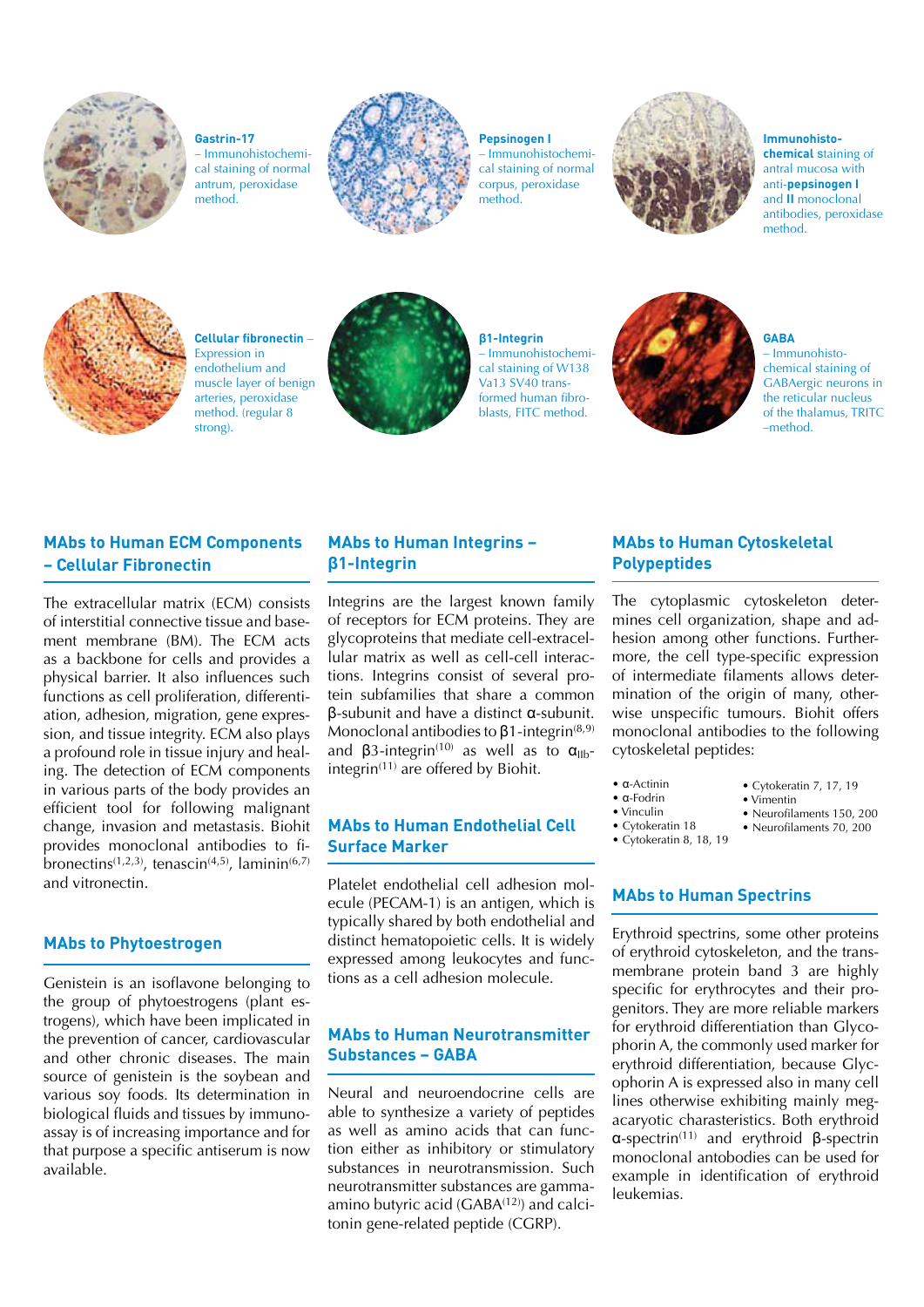

**Gastrin-17** – Immunohistochemical staining of normal antrum, peroxidase method.



### **Pepsinogen I**

– Immunohistochemical staining of normal corpus, peroxidase method.



**Immunohistochemical** staining of antral mucosa with anti-**pepsinogen I** and **II** monoclonal antibodies, peroxidase method.



**Cellular fibronectin** – Expression in endothelium and muscle layer of benign arteries, peroxidase method. (regular 8 strong).



**β1-Integrin** – Immunohistochemical staining of W138 Va13 SV40 transformed human fibroblasts, FITC method.



**GABA** – Immunohistochemical staining of GABAergic neurons in the reticular nucleus of the thalamus, TRITC –method.

#### **MAbs to Human ECM Components – Cellular Fibronectin**

The extracellular matrix (ECM) consists of interstitial connective tissue and basement membrane (BM). The ECM acts as a backbone for cells and provides a physical barrier. It also influences such functions as cell proliferation, differentiation, adhesion, migration, gene expression, and tissue integrity. ECM also plays a profound role in tissue injury and healing. The detection of ECM components in various parts of the body provides an efficient tool for following malignant change, invasion and metastasis. Biohit provides monoclonal antibodies to fibronectins<sup> $(1,2,3)$ </sup>, tenascin<sup> $(4,5)$ </sup>, laminin<sup> $(6,7)$ </sup> and vitronectin.

#### **MAbs to Phytoestrogen**

Genistein is an isoflavone belonging to the group of phytoestrogens (plant estrogens), which have been implicated in the prevention of cancer, cardiovascular and other chronic diseases. The main source of genistein is the soybean and various soy foods. Its determination in biological fluids and tissues by immunoassay is of increasing importance and for that purpose a specific antiserum is now available.

#### **MAbs to Human Integrins – β1-Integrin**

Integrins are the largest known family of receptors for ECM proteins. They are glycoproteins that mediate cell-extracellular matrix as well as cell-cell interactions. Integrins consist of several protein subfamilies that share a common β-subunit and have a distinct α-subunit. Monoclonal antibodies to  $\beta$ 1-integrin<sup>(8,9)</sup> and  $\beta$ 3-integrin<sup>(10)</sup> as well as to  $\alpha_{IIb}$ integrin(11) are offered by Biohit.

#### **MAbs to Human Endothelial Cell Surface Marker**

Platelet endothelial cell adhesion molecule (PECAM-1) is an antigen, which is typically shared by both endothelial and distinct hematopoietic cells. It is widely expressed among leukocytes and functions as a cell adhesion molecule.

#### **MAbs to Human Neurotransmitter Substances – GABA**

i

Neural and neuroendocrine cells are able to synthesize a variety of peptides as well as amino acids that can function either as inhibitory or stimulatory substances in neurotransmission. Such neurotransmitter substances are gammaamino butyric acid  $(GABA^{(12)})$  and calcitonin gene-related peptide (CGRP).

#### **MAbs to Human Cytoskeletal Polypeptides**

The cytoplasmic cytoskeleton determines cell organization, shape and adhesion among other functions. Furthermore, the cell type-specific expression of intermediate filaments allows determination of the origin of many, otherwise unspecific tumours. Biohit offers monoclonal antibodies to the following cytoskeletal peptides:

- α-Actinin
- α-Fodrin • Vinculin
- Cytokeratin 7, 17, 19 • Vimentin
	- Neurofilaments 150, 200
	- Neurofilaments 70, 200
- Cytokeratin 18 • Cytokeratin 8, 18, 19

#### **MAbs to Human Spectrins**

Erythroid spectrins, some other proteins of erythroid cytoskeleton, and the transmembrane protein band 3 are highly specific for erythrocytes and their progenitors. They are more reliable markers for erythroid differentiation than Glycophorin A, the commonly used marker for erythroid differentiation, because Glycophorin A is expressed also in many cell lines otherwise exhibiting mainly megacaryotic charasteristics. Both erythroid α-spectrin(11) and erythroid β-spectrin monoclonal antobodies can be used for example in identification of erythroid leukemias.